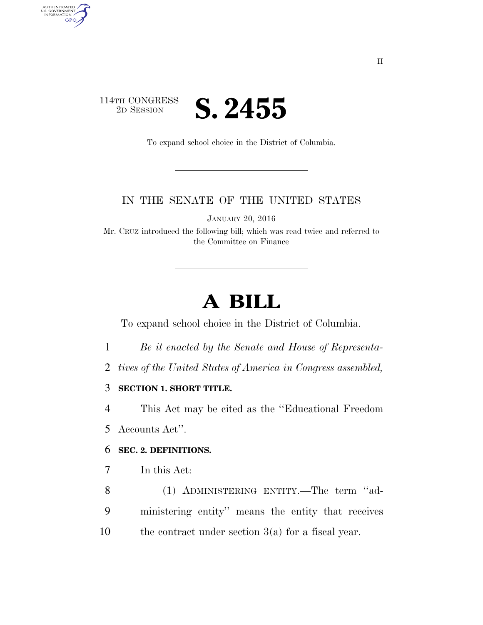### 114TH CONGRESS<br>2D SESSION **S. 2455**

AUTHENTICATED<br>U.S. GOVERNMENT<br>INFORMATION

GPO

To expand school choice in the District of Columbia.

#### IN THE SENATE OF THE UNITED STATES

JANUARY 20, 2016

Mr. CRUZ introduced the following bill; which was read twice and referred to the Committee on Finance

# **A BILL**

To expand school choice in the District of Columbia.

- 1 *Be it enacted by the Senate and House of Representa-*
- 2 *tives of the United States of America in Congress assembled,*

#### 3 **SECTION 1. SHORT TITLE.**

4 This Act may be cited as the ''Educational Freedom

5 Accounts Act''.

#### 6 **SEC. 2. DEFINITIONS.**

- 7 In this Act:
- 8 (1) ADMINISTERING ENTITY.—The term ''ad-9 ministering entity'' means the entity that receives 10 the contract under section 3(a) for a fiscal year.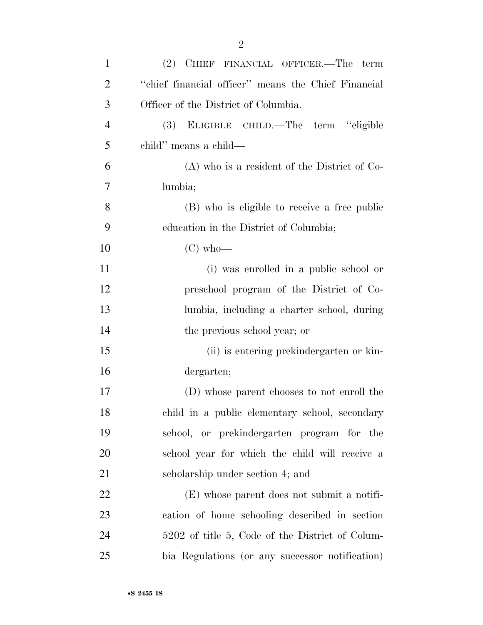| $\mathbf{1}$   | (2) CHIEF FINANCIAL OFFICER.—The term               |
|----------------|-----------------------------------------------------|
| $\overline{2}$ | "chief financial officer" means the Chief Financial |
| 3              | Officer of the District of Columbia.                |
| $\overline{4}$ | ELIGIBLE CHILD.—The term "eligible<br>(3)           |
| 5              | child" means a child—                               |
| 6              | $(A)$ who is a resident of the District of Co-      |
| 7              | lumbia;                                             |
| 8              | (B) who is eligible to receive a free public        |
| 9              | education in the District of Columbia;              |
| 10             | $(C)$ who—                                          |
| 11             | (i) was enrolled in a public school or              |
| 12             | preschool program of the District of Co-            |
| 13             | lumbia, including a charter school, during          |
| 14             | the previous school year; or                        |
| 15             | (ii) is entering prekindergarten or kin-            |
| 16             | dergarten;                                          |
| 17             | (D) whose parent chooses to not enroll the          |
| 18             | child in a public elementary school, secondary      |
| 19             | school, or prekindergarten program for the          |
| 20             | school year for which the child will receive a      |
| 21             | scholarship under section 4; and                    |
| 22             | (E) whose parent does not submit a notifi-          |
| 23             | cation of home schooling described in section       |
| 24             | 5202 of title 5, Code of the District of Colum-     |
| 25             | bia Regulations (or any successor notification)     |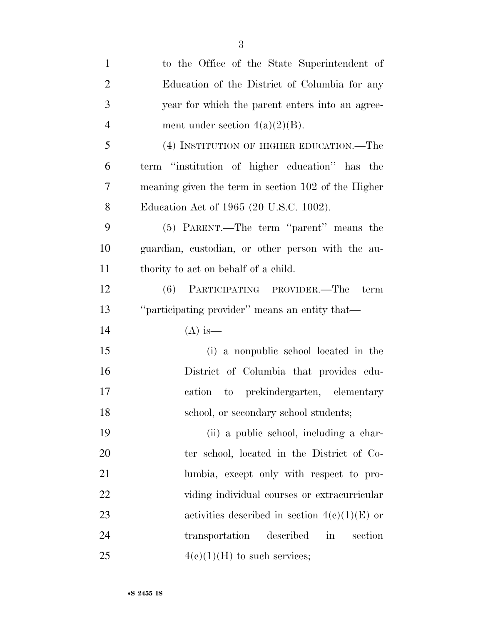| $\mathbf{1}$   | to the Office of the State Superintendent of        |
|----------------|-----------------------------------------------------|
| $\overline{2}$ | Education of the District of Columbia for any       |
| 3              | year for which the parent enters into an agree-     |
| $\overline{4}$ | ment under section $4(a)(2)(B)$ .                   |
| 5              | (4) INSTITUTION OF HIGHER EDUCATION.—The            |
| 6              | term "institution of higher education" has the      |
| 7              | meaning given the term in section 102 of the Higher |
| 8              | Education Act of 1965 (20 U.S.C. 1002).             |
| 9              | (5) PARENT.—The term "parent" means the             |
| 10             | guardian, custodian, or other person with the au-   |
| 11             | thority to act on behalf of a child.                |
| 12             | (6) PARTICIPATING PROVIDER.—The<br>term             |
| 13             | "participating provider" means an entity that-      |
| 14             | $(A)$ is —                                          |
| 15             | (i) a nonpublic school located in the               |
| 16             | District of Columbia that provides edu-             |
| 17             | cation to prekindergarten, elementary               |
| 18             | school, or secondary school students;               |
| 19             | (ii) a public school, including a char-             |
| 20             | ter school, located in the District of Co-          |
| 21             | lumbia, except only with respect to pro-            |
| 22             | viding individual courses or extracurricular        |
| 23             | activities described in section $4(c)(1)(E)$ or     |
| 24             | transportation described<br>in<br>section           |
| 25             | $4(c)(1)(H)$ to such services;                      |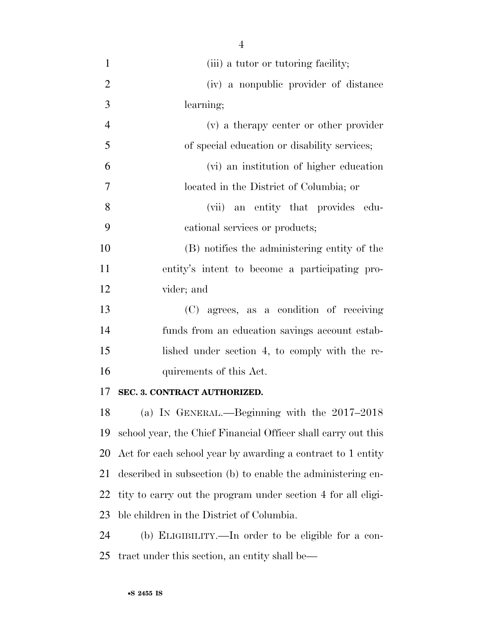1 (iii) a tutor or tutoring facility; (iv) a nonpublic provider of distance learning; (v) a therapy center or other provider of special education or disability services; (vi) an institution of higher education located in the District of Columbia; or (vii) an entity that provides edu- cational services or products; (B) notifies the administering entity of the entity's intent to become a participating pro- vider; and (C) agrees, as a condition of receiving funds from an education savings account estab- lished under section 4, to comply with the re- quirements of this Act. **SEC. 3. CONTRACT AUTHORIZED.**  (a) IN GENERAL.—Beginning with the 2017–2018

 school year, the Chief Financial Officer shall carry out this Act for each school year by awarding a contract to 1 entity described in subsection (b) to enable the administering en- tity to carry out the program under section 4 for all eligi-ble children in the District of Columbia.

 (b) ELIGIBILITY.—In order to be eligible for a con-tract under this section, an entity shall be—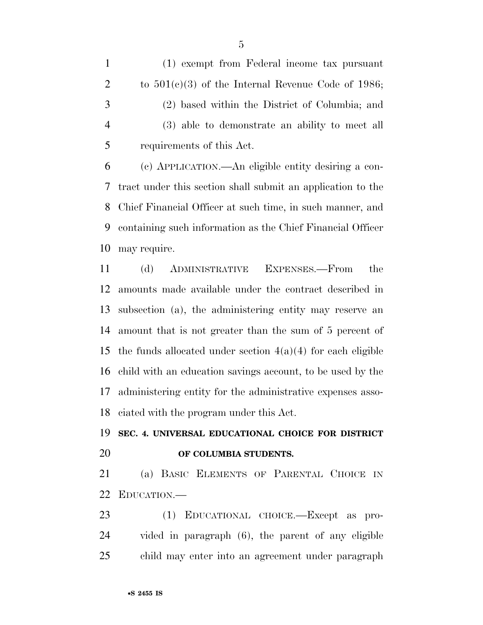(1) exempt from Federal income tax pursuant 2 to  $501(c)(3)$  of the Internal Revenue Code of 1986; (2) based within the District of Columbia; and (3) able to demonstrate an ability to meet all requirements of this Act.

 (c) APPLICATION.—An eligible entity desiring a con- tract under this section shall submit an application to the Chief Financial Officer at such time, in such manner, and containing such information as the Chief Financial Officer may require.

 (d) ADMINISTRATIVE EXPENSES.—From the amounts made available under the contract described in subsection (a), the administering entity may reserve an amount that is not greater than the sum of 5 percent of 15 the funds allocated under section  $4(a)(4)$  for each eligible child with an education savings account, to be used by the administering entity for the administrative expenses asso-ciated with the program under this Act.

## **SEC. 4. UNIVERSAL EDUCATIONAL CHOICE FOR DISTRICT OF COLUMBIA STUDENTS.**

 (a) BASIC ELEMENTS OF PARENTAL CHOICE IN EDUCATION.—

 (1) EDUCATIONAL CHOICE.—Except as pro- vided in paragraph (6), the parent of any eligible child may enter into an agreement under paragraph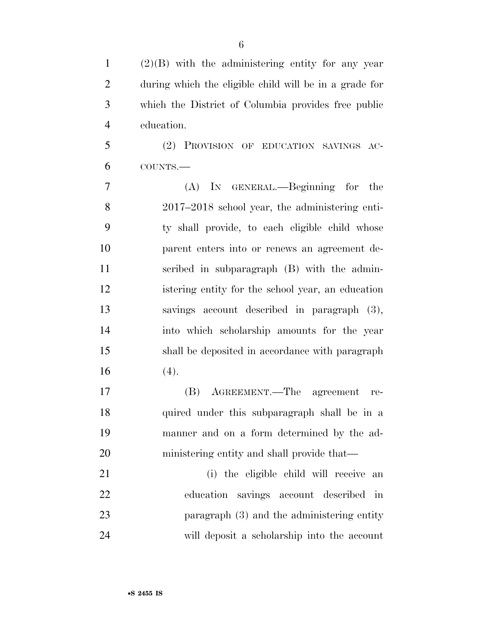(2)(B) with the administering entity for any year during which the eligible child will be in a grade for which the District of Columbia provides free public education.

 (2) PROVISION OF EDUCATION SAVINGS AC-COUNTS.—

 (A) IN GENERAL.—Beginning for the 2017–2018 school year, the administering enti- ty shall provide, to each eligible child whose parent enters into or renews an agreement de- scribed in subparagraph (B) with the admin- istering entity for the school year, an education savings account described in paragraph (3), into which scholarship amounts for the year shall be deposited in accordance with paragraph (4).

 (B) AGREEMENT.—The agreement re- quired under this subparagraph shall be in a manner and on a form determined by the ad-ministering entity and shall provide that—

 (i) the eligible child will receive an education savings account described in paragraph (3) and the administering entity will deposit a scholarship into the account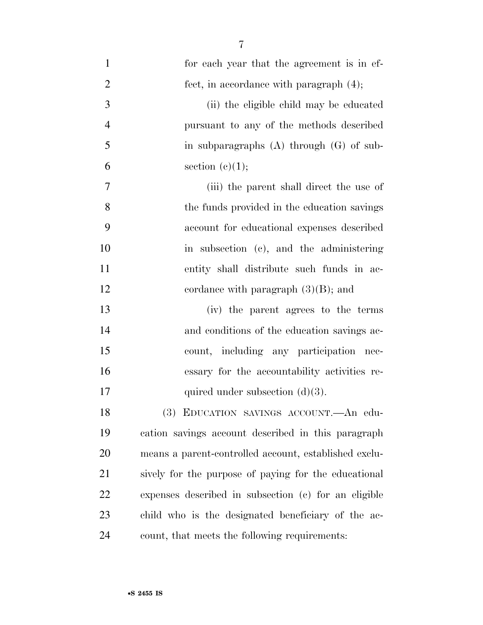| $\mathbf{1}$   | for each year that the agreement is in ef-   |
|----------------|----------------------------------------------|
| 2              | fect, in accordance with paragraph $(4)$ ;   |
| 3              | (ii) the eligible child may be educated      |
| $\overline{4}$ | pursuant to any of the methods described     |
| 5              | in subparagraphs $(A)$ through $(G)$ of sub- |
| 6              | section $(c)(1);$                            |

| (iii) the parent shall direct the use of          |
|---------------------------------------------------|
| -8<br>the funds provided in the education savings |
| -9<br>account for educational expenses described  |
| 10<br>in subsection (c), and the administering    |
| 11<br>entity shall distribute such funds in ac-   |
| 12<br>cordance with paragraph $(3)(B)$ ; and      |

 (iv) the parent agrees to the terms and conditions of the education savings ac- count, including any participation nec- essary for the accountability activities re-17 quired under subsection  $(d)(3)$ .

 (3) EDUCATION SAVINGS ACCOUNT.—An edu- cation savings account described in this paragraph means a parent-controlled account, established exclu- sively for the purpose of paying for the educational expenses described in subsection (c) for an eligible child who is the designated beneficiary of the ac-count, that meets the following requirements: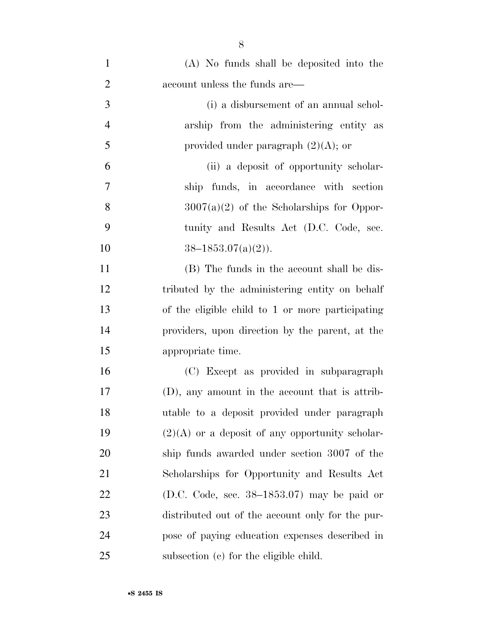| $\mathbf{1}$   | (A) No funds shall be deposited into the          |
|----------------|---------------------------------------------------|
| $\overline{2}$ | account unless the funds are—                     |
| 3              | (i) a disbursement of an annual schol-            |
| $\overline{4}$ | arship from the administering entity as           |
| 5              | provided under paragraph $(2)(A)$ ; or            |
| 6              | (ii) a deposit of opportunity scholar-            |
| 7              | ship funds, in accordance with section            |
| 8              | $3007(a)(2)$ of the Scholarships for Oppor-       |
| 9              | tunity and Results Act (D.C. Code, sec.           |
| 10             | $38-1853.07(a)(2)$ .                              |
| 11             | (B) The funds in the account shall be dis-        |
| 12             | tributed by the administering entity on behalf    |
| 13             | of the eligible child to 1 or more participating  |
| 14             | providers, upon direction by the parent, at the   |
| 15             | appropriate time.                                 |
| 16             | (C) Except as provided in subparagraph            |
| 17             | (D), any amount in the account that is attrib-    |
| 18             | utable to a deposit provided under paragraph      |
| 19             | $(2)(A)$ or a deposit of any opportunity scholar- |
| 20             | ship funds awarded under section 3007 of the      |
| 21             | Scholarships for Opportunity and Results Act      |
| 22             | (D.C. Code, sec. $38-1853.07$ ) may be paid or    |
| 23             | distributed out of the account only for the pur-  |
| 24             | pose of paying education expenses described in    |
| 25             | subsection (c) for the eligible child.            |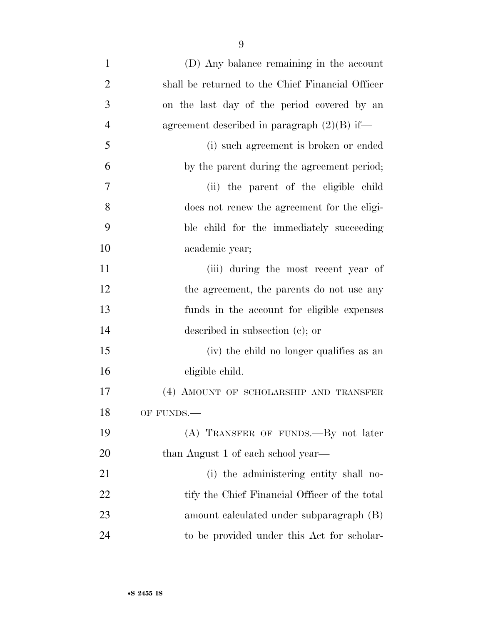| (D) Any balance remaining in the account         |
|--------------------------------------------------|
| shall be returned to the Chief Financial Officer |
| on the last day of the period covered by an      |
| agreement described in paragraph $(2)(B)$ if—    |
| (i) such agreement is broken or ended            |
| by the parent during the agreement period;       |
| (ii) the parent of the eligible child            |
| does not renew the agreement for the eligi-      |
| ble child for the immediately succeeding         |
| academic year;                                   |
| (iii) during the most recent year of             |
| the agreement, the parents do not use any        |
| funds in the account for eligible expenses       |
| described in subsection $(c)$ ; or               |
| (iv) the child no longer qualifies as an         |
| eligible child.                                  |
| (4) AMOUNT OF SCHOLARSHIP AND TRANSFER           |
| OF FUNDS.-                                       |
| (A) TRANSFER OF FUNDS.—By not later              |
| than August 1 of each school year—               |
| (i) the administering entity shall no-           |
| tify the Chief Financial Officer of the total    |
| amount calculated under subparagraph (B)         |
|                                                  |

to be provided under this Act for scholar-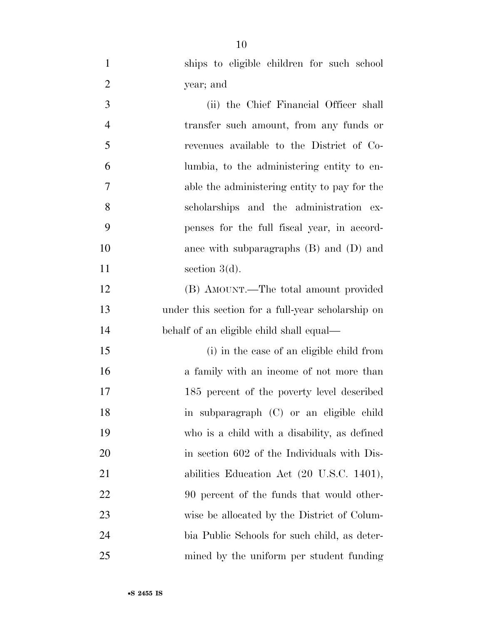ships to eligible children for such school year; and

 (ii) the Chief Financial Officer shall transfer such amount, from any funds or revenues available to the District of Co- lumbia, to the administering entity to en- able the administering entity to pay for the scholarships and the administration ex- penses for the full fiscal year, in accord- ance with subparagraphs (B) and (D) and 11 section 3(d). (B) AMOUNT.—The total amount provided under this section for a full-year scholarship on behalf of an eligible child shall equal— (i) in the case of an eligible child from a family with an income of not more than 185 percent of the poverty level described in subparagraph (C) or an eligible child who is a child with a disability, as defined 20 in section 602 of the Individuals with Dis-21 abilities Education Act (20 U.S.C. 1401), 22 90 percent of the funds that would other-

wise be allocated by the District of Colum-

bia Public Schools for such child, as deter-

mined by the uniform per student funding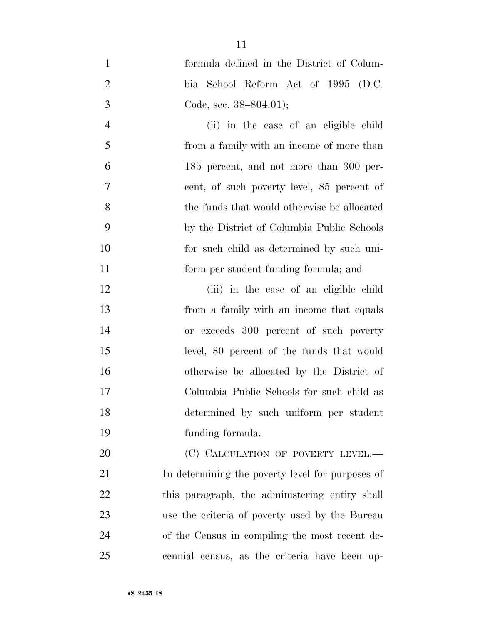formula defined in the District of Colum- bia School Reform Act of 1995 (D.C. Code, sec. 38–804.01);

 (ii) in the case of an eligible child from a family with an income of more than 185 percent, and not more than 300 per- cent, of such poverty level, 85 percent of the funds that would otherwise be allocated by the District of Columbia Public Schools for such child as determined by such uni-form per student funding formula; and

 (iii) in the case of an eligible child from a family with an income that equals or exceeds 300 percent of such poverty level, 80 percent of the funds that would otherwise be allocated by the District of Columbia Public Schools for such child as determined by such uniform per student funding formula.

20 (C) CALCULATION OF POVERTY LEVEL.— In determining the poverty level for purposes of this paragraph, the administering entity shall use the criteria of poverty used by the Bureau of the Census in compiling the most recent de-cennial census, as the criteria have been up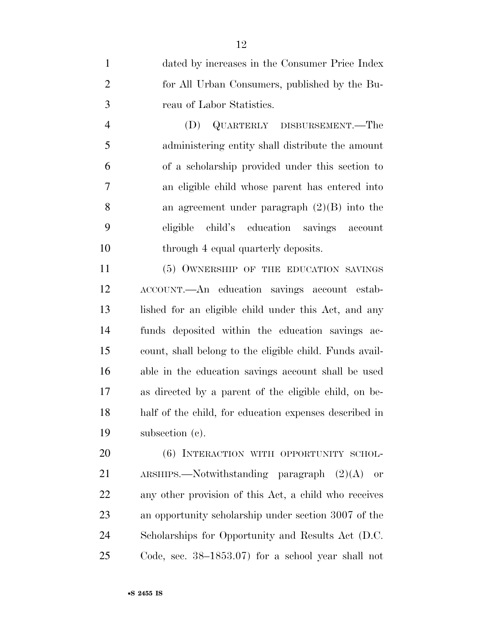dated by increases in the Consumer Price Index for All Urban Consumers, published by the Bu-reau of Labor Statistics.

 (D) QUARTERLY DISBURSEMENT.—The administering entity shall distribute the amount of a scholarship provided under this section to an eligible child whose parent has entered into an agreement under paragraph (2)(B) into the eligible child's education savings account 10 through 4 equal quarterly deposits.

11 (5) OWNERSHIP OF THE EDUCATION SAVINGS ACCOUNT.—An education savings account estab- lished for an eligible child under this Act, and any funds deposited within the education savings ac- count, shall belong to the eligible child. Funds avail- able in the education savings account shall be used as directed by a parent of the eligible child, on be- half of the child, for education expenses described in subsection (c).

20 (6) INTERACTION WITH OPPORTUNITY SCHOL- ARSHIPS.—Notwithstanding paragraph (2)(A) or any other provision of this Act, a child who receives an opportunity scholarship under section 3007 of the Scholarships for Opportunity and Results Act (D.C. Code, sec. 38–1853.07) for a school year shall not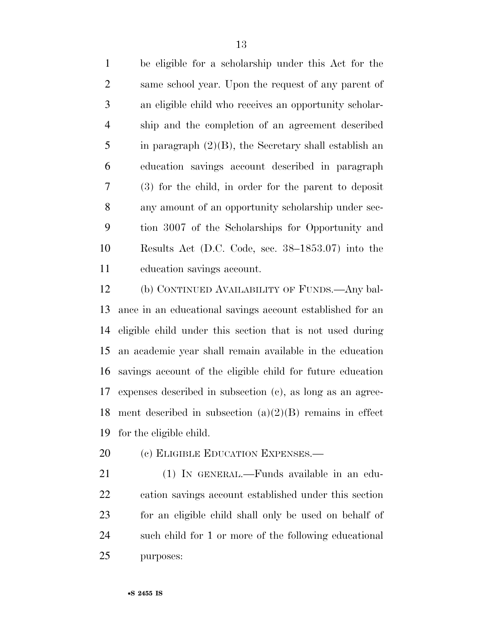be eligible for a scholarship under this Act for the same school year. Upon the request of any parent of an eligible child who receives an opportunity scholar- ship and the completion of an agreement described in paragraph (2)(B), the Secretary shall establish an education savings account described in paragraph (3) for the child, in order for the parent to deposit any amount of an opportunity scholarship under sec- tion 3007 of the Scholarships for Opportunity and Results Act (D.C. Code, sec. 38–1853.07) into the education savings account.

 (b) CONTINUED AVAILABILITY OF FUNDS.—Any bal- ance in an educational savings account established for an eligible child under this section that is not used during an academic year shall remain available in the education savings account of the eligible child for future education expenses described in subsection (c), as long as an agree-18 ment described in subsection  $(a)(2)(B)$  remains in effect for the eligible child.

20 (c) ELIGIBLE EDUCATION EXPENSES.—

 (1) IN GENERAL.—Funds available in an edu- cation savings account established under this section for an eligible child shall only be used on behalf of such child for 1 or more of the following educational purposes: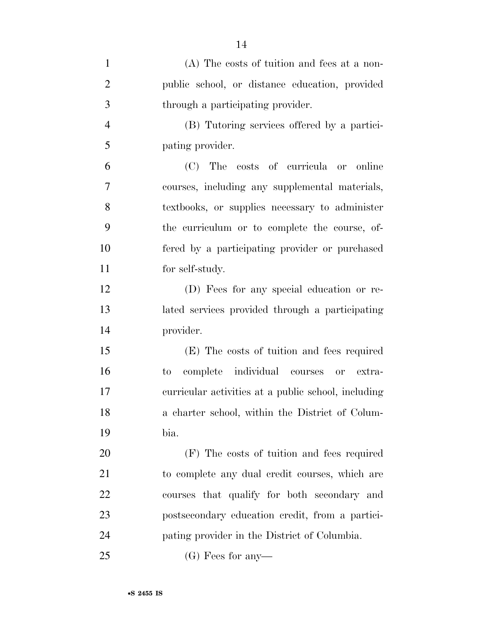| $\mathbf{1}$   | (A) The costs of tuition and fees at a non-         |
|----------------|-----------------------------------------------------|
| $\overline{2}$ | public school, or distance education, provided      |
| 3              | through a participating provider.                   |
| $\overline{4}$ | (B) Tutoring services offered by a partici-         |
| 5              | pating provider.                                    |
| 6              | (C) The costs of curricula or online                |
| 7              | courses, including any supplemental materials,      |
| 8              | textbooks, or supplies necessary to administer      |
| 9              | the curriculum or to complete the course, of-       |
| 10             | fered by a participating provider or purchased      |
| 11             | for self-study.                                     |
| 12             | (D) Fees for any special education or re-           |
| 13             | lated services provided through a participating     |
| 14             | provider.                                           |
| 15             | (E) The costs of tuition and fees required          |
| 16             | complete individual courses<br>to<br>or extra-      |
| 17             | curricular activities at a public school, including |
| 18             | a charter school, within the District of Colum-     |
| 19             | bia.                                                |
| 20             | (F) The costs of tuition and fees required          |
| 21             | to complete any dual credit courses, which are      |
| <u>22</u>      | courses that qualify for both secondary and         |
| 23             | postsecondary education credit, from a partici-     |
| 24             | pating provider in the District of Columbia.        |
| 25             | $(G)$ Fees for any-                                 |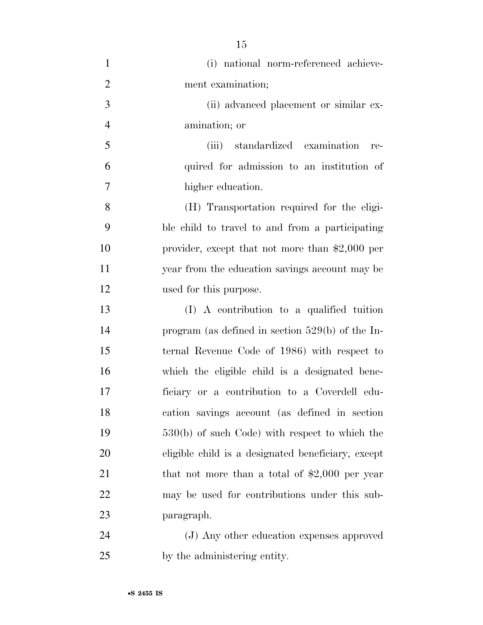| $\mathbf{1}$   | (i) national norm-referenced achieve-              |
|----------------|----------------------------------------------------|
| $\overline{2}$ | ment examination;                                  |
| 3              | (ii) advanced placement or similar ex-             |
| $\overline{4}$ | amination; or                                      |
| 5              | standardized examination<br>(iii)<br>re-           |
| 6              | quired for admission to an institution of          |
| 7              | higher education.                                  |
| 8              | (H) Transportation required for the eligi-         |
| 9              | ble child to travel to and from a participating    |
| 10             | provider, except that not more than $$2,000$ per   |
| 11             | year from the education savings account may be     |
| 12             | used for this purpose.                             |
| 13             | (I) A contribution to a qualified tuition          |
| 14             | program (as defined in section $529(b)$ of the In- |
| 15             | ternal Revenue Code of 1986) with respect to       |
| 16             | which the eligible child is a designated bene-     |
| 17             | ficiary or a contribution to a Coverdell edu-      |
| 18             | cation savings account (as defined in section      |
| 19             | $530(b)$ of such Code) with respect to which the   |
| 20             | eligible child is a designated beneficiary, except |
| 21             | that not more than a total of $$2,000$ per year    |
| 22             | may be used for contributions under this sub-      |
| 23             | paragraph.                                         |
| 24             | (J) Any other education expenses approved          |
|                |                                                    |

by the administering entity.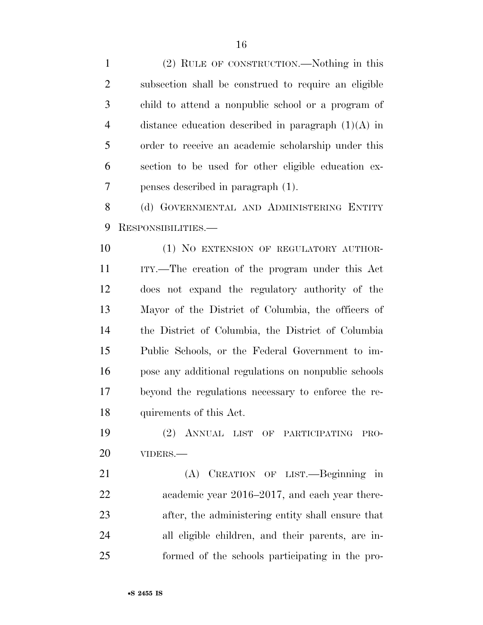(2) RULE OF CONSTRUCTION.—Nothing in this subsection shall be construed to require an eligible child to attend a nonpublic school or a program of distance education described in paragraph (1)(A) in order to receive an academic scholarship under this section to be used for other eligible education ex-penses described in paragraph (1).

8 (d) GOVERNMENTAL AND ADMINISTERING ENTITY RESPONSIBILITIES.—

10 (1) NO EXTENSION OF REGULATORY AUTHOR- ITY.—The creation of the program under this Act does not expand the regulatory authority of the Mayor of the District of Columbia, the officers of the District of Columbia, the District of Columbia Public Schools, or the Federal Government to im- pose any additional regulations on nonpublic schools beyond the regulations necessary to enforce the re-quirements of this Act.

 (2) ANNUAL LIST OF PARTICIPATING PRO-VIDERS.—

 (A) CREATION OF LIST.—Beginning in academic year 2016–2017, and each year there- after, the administering entity shall ensure that all eligible children, and their parents, are in-formed of the schools participating in the pro-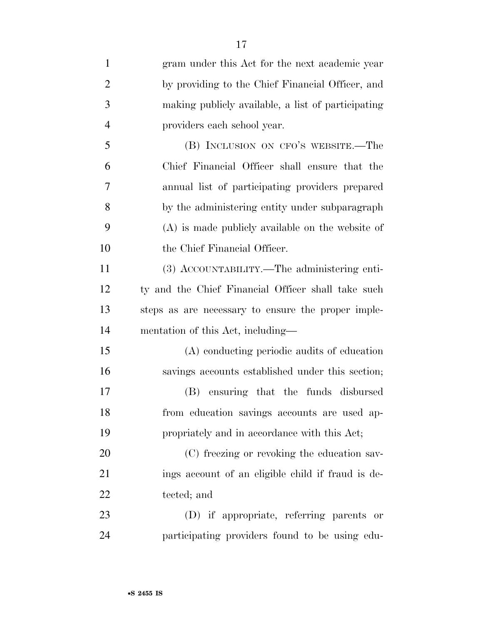| $\mathbf{1}$   | gram under this Act for the next academic year     |
|----------------|----------------------------------------------------|
| $\overline{2}$ | by providing to the Chief Financial Officer, and   |
| 3              | making publicly available, a list of participating |
| $\overline{4}$ | providers each school year.                        |
| 5              | (B) INCLUSION ON CFO'S WEBSITE.—The                |
| 6              | Chief Financial Officer shall ensure that the      |
| 7              | annual list of participating providers prepared    |
| 8              | by the administering entity under subparagraph     |
| 9              | (A) is made publicly available on the website of   |
| 10             | the Chief Financial Officer.                       |
| 11             | (3) ACCOUNTABILITY.—The administering enti-        |
| 12             | ty and the Chief Financial Officer shall take such |
| 13             | steps as are necessary to ensure the proper imple- |
| 14             | mentation of this Act, including—                  |
| 15             | (A) conducting periodic audits of education        |
| 16             | savings accounts established under this section;   |
| 17             | ensuring that the funds disbursed<br>(B)           |
| 18             | from education savings accounts are used ap-       |
| 19             | propriately and in accordance with this Act;       |
| 20             | (C) freezing or revoking the education sav-        |
| 21             | ings account of an eligible child if fraud is de-  |
| 22             | tected; and                                        |
| 23             | (D) if appropriate, referring parents or           |
| 24             | participating providers found to be using edu-     |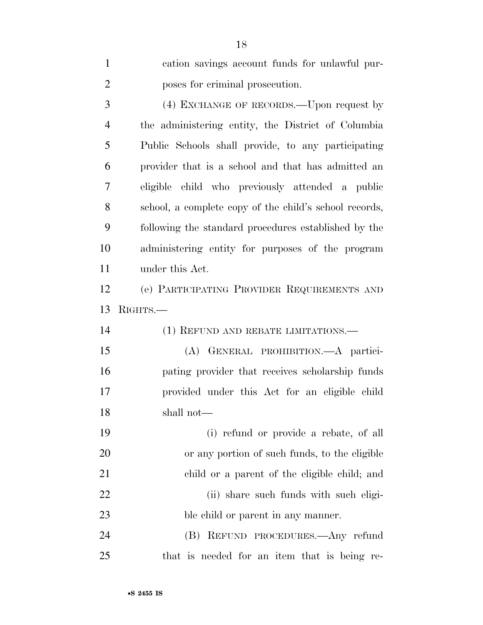| $\mathbf{1}$   | cation savings account funds for unlawful pur-         |
|----------------|--------------------------------------------------------|
| $\overline{2}$ | poses for criminal prosecution.                        |
| 3              | (4) EXCHANGE OF RECORDS.—Upon request by               |
| $\overline{4}$ | the administering entity, the District of Columbia     |
| 5              | Public Schools shall provide, to any participating     |
| 6              | provider that is a school and that has admitted an     |
| 7              | eligible child who previously attended a public        |
| 8              | school, a complete copy of the child's school records, |
| 9              | following the standard procedures established by the   |
| 10             | administering entity for purposes of the program       |
| 11             | under this Act.                                        |
| 12             | (e) PARTICIPATING PROVIDER REQUIREMENTS AND            |
|                |                                                        |
| 13             | RIGHTS.                                                |
| 14             | (1) REFUND AND REBATE LIMITATIONS.—                    |
| 15             | (A) GENERAL PROHIBITION. A partici-                    |
| 16             | pating provider that receives scholarship funds        |
| 17             | provided under this Act for an eligible child          |
| 18             | shall not—                                             |
| 19             | (i) refund or provide a rebate, of all                 |
| 20             | or any portion of such funds, to the eligible          |
| 21             | child or a parent of the eligible child; and           |
| 22             | (ii) share such funds with such eligi-                 |
| 23             | ble child or parent in any manner.                     |
| 24             | (B) REFUND PROCEDURES.—Any refund                      |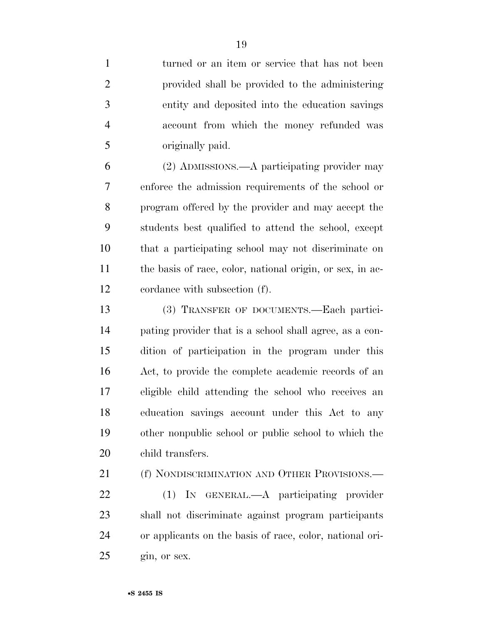1 turned or an item or service that has not been provided shall be provided to the administering entity and deposited into the education savings account from which the money refunded was originally paid. (2) ADMISSIONS.—A participating provider may enforce the admission requirements of the school or program offered by the provider and may accept the students best qualified to attend the school, except that a participating school may not discriminate on 11 the basis of race, color, national origin, or sex, in ac- cordance with subsection (f). (3) TRANSFER OF DOCUMENTS.—Each partici- pating provider that is a school shall agree, as a con- dition of participation in the program under this Act, to provide the complete academic records of an eligible child attending the school who receives an education savings account under this Act to any other nonpublic school or public school to which the child transfers.

21 (f) NONDISCRIMINATION AND OTHER PROVISIONS.—

 (1) IN GENERAL.—A participating provider shall not discriminate against program participants or applicants on the basis of race, color, national ori-gin, or sex.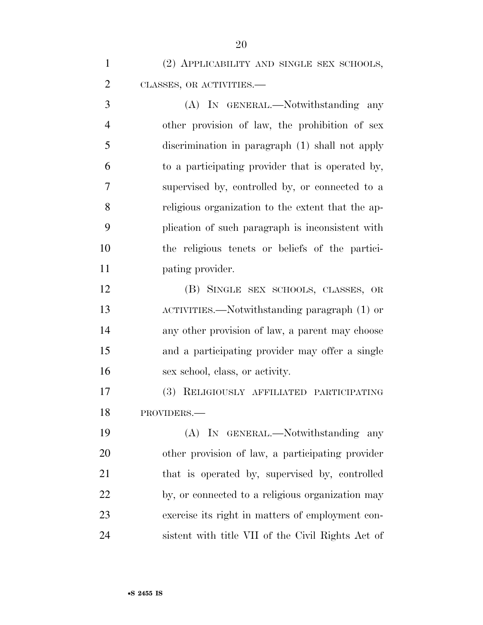(2) APPLICABILITY AND SINGLE SEX SCHOOLS, CLASSES, OR ACTIVITIES.—

 (A) IN GENERAL.—Notwithstanding any other provision of law, the prohibition of sex discrimination in paragraph (1) shall not apply to a participating provider that is operated by, supervised by, controlled by, or connected to a religious organization to the extent that the ap- plication of such paragraph is inconsistent with the religious tenets or beliefs of the partici-11 pating provider.

 (B) SINGLE SEX SCHOOLS, CLASSES, OR ACTIVITIES.—Notwithstanding paragraph (1) or any other provision of law, a parent may choose and a participating provider may offer a single sex school, class, or activity.

 (3) RELIGIOUSLY AFFILIATED PARTICIPATING PROVIDERS.—

 (A) IN GENERAL.—Notwithstanding any other provision of law, a participating provider 21 that is operated by, supervised by, controlled by, or connected to a religious organization may exercise its right in matters of employment con-sistent with title VII of the Civil Rights Act of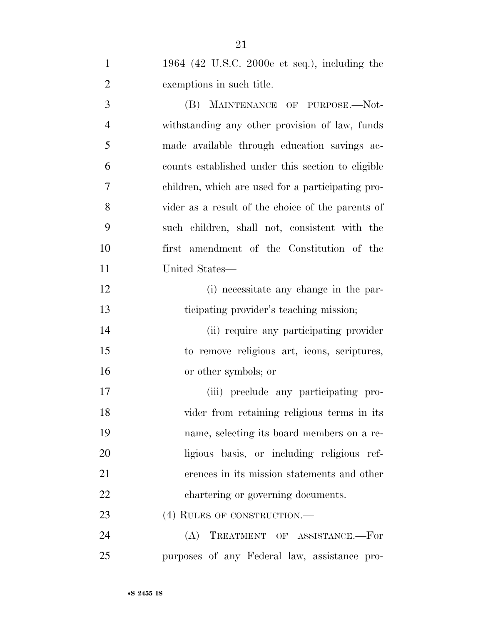1964 (42 U.S.C. 2000e et seq.), including the exemptions in such title. 3 (B) MAINTENANCE OF PURPOSE.—Not- withstanding any other provision of law, funds made available through education savings ac- counts established under this section to eligible children, which are used for a participating pro- vider as a result of the choice of the parents of such children, shall not, consistent with the first amendment of the Constitution of the United States— (i) necessitate any change in the par- ticipating provider's teaching mission; (ii) require any participating provider to remove religious art, icons, scriptures, or other symbols; or (iii) preclude any participating pro- vider from retaining religious terms in its name, selecting its board members on a re- ligious basis, or including religious ref-erences in its mission statements and other

23 (4) RULES OF CONSTRUCTION.—

22 chartering or governing documents.

 (A) TREATMENT OF ASSISTANCE.—For purposes of any Federal law, assistance pro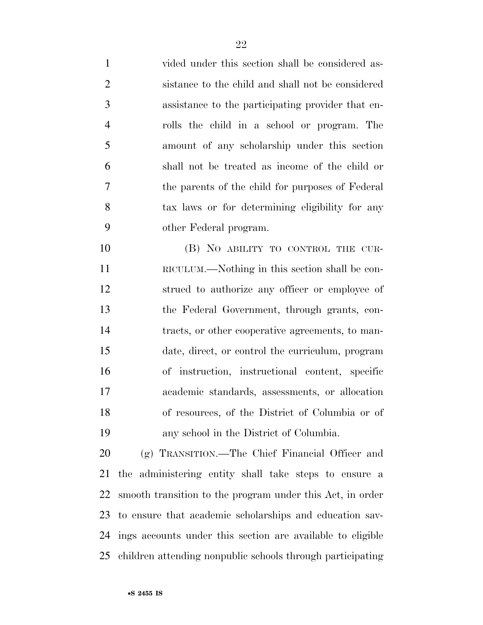vided under this section shall be considered as- sistance to the child and shall not be considered assistance to the participating provider that en- rolls the child in a school or program. The amount of any scholarship under this section shall not be treated as income of the child or the parents of the child for purposes of Federal tax laws or for determining eligibility for any other Federal program.

10 (B) NO ABILITY TO CONTROL THE CUR- RICULUM.—Nothing in this section shall be con- strued to authorize any officer or employee of the Federal Government, through grants, con- tracts, or other cooperative agreements, to man- date, direct, or control the curriculum, program of instruction, instructional content, specific academic standards, assessments, or allocation of resources, of the District of Columbia or of any school in the District of Columbia.

 (g) TRANSITION.—The Chief Financial Officer and the administering entity shall take steps to ensure a smooth transition to the program under this Act, in order to ensure that academic scholarships and education sav- ings accounts under this section are available to eligible children attending nonpublic schools through participating